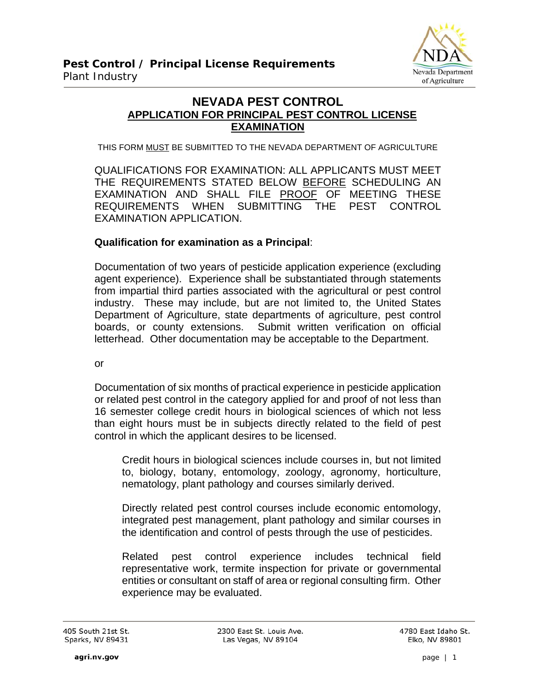

### **NEVADA PEST CONTROL APPLICATION FOR PRINCIPAL PEST CONTROL LICENSE EXAMINATION**

THIS FORM MUST BE SUBMITTED TO THE NEVADA DEPARTMENT OF AGRICULTURE

QUALIFICATIONS FOR EXAMINATION: ALL APPLICANTS MUST MEET THE REQUIREMENTS STATED BELOW BEFORE SCHEDULING AN EXAMINATION AND SHALL FILE PROOF OF MEETING THESE REQUIREMENTS WHEN SUBMITTING THE PEST CONTROL EXAMINATION APPLICATION.

#### **Qualification for examination as a Principal**:

Documentation of two years of pesticide application experience (excluding agent experience). Experience shall be substantiated through statements from impartial third parties associated with the agricultural or pest control industry. These may include, but are not limited to, the United States Department of Agriculture, state departments of agriculture, pest control boards, or county extensions. Submit written verification on official letterhead. Other documentation may be acceptable to the Department.

or

Documentation of six months of practical experience in pesticide application or related pest control in the category applied for and proof of not less than 16 semester college credit hours in biological sciences of which not less than eight hours must be in subjects directly related to the field of pest control in which the applicant desires to be licensed.

Credit hours in biological sciences include courses in, but not limited to, biology, botany, entomology, zoology, agronomy, horticulture, nematology, plant pathology and courses similarly derived.

Directly related pest control courses include economic entomology, integrated pest management, plant pathology and similar courses in the identification and control of pests through the use of pesticides.

Related pest control experience includes technical field representative work, termite inspection for private or governmental entities or consultant on staff of area or regional consulting firm. Other experience may be evaluated.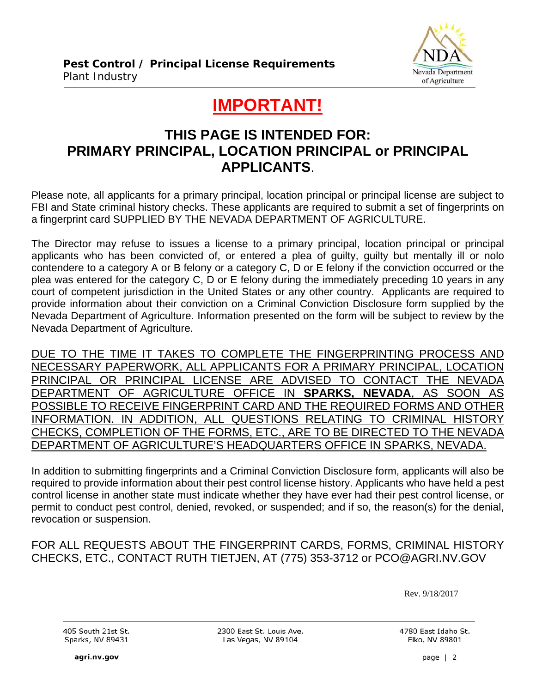

# **IMPORTANT!**

### **THIS PAGE IS INTENDED FOR: PRIMARY PRINCIPAL, LOCATION PRINCIPAL or PRINCIPAL APPLICANTS**.

Please note, all applicants for a primary principal, location principal or principal license are subject to FBI and State criminal history checks. These applicants are required to submit a set of fingerprints on a fingerprint card SUPPLIED BY THE NEVADA DEPARTMENT OF AGRICULTURE.

The Director may refuse to issues a license to a primary principal, location principal or principal applicants who has been convicted of, or entered a plea of guilty, guilty but mentally ill or nolo contendere to a category A or B felony or a category C, D or E felony if the conviction occurred or the plea was entered for the category C, D or E felony during the immediately preceding 10 years in any court of competent jurisdiction in the United States or any other country. Applicants are required to provide information about their conviction on a Criminal Conviction Disclosure form supplied by the Nevada Department of Agriculture. Information presented on the form will be subject to review by the Nevada Department of Agriculture.

DUE TO THE TIME IT TAKES TO COMPLETE THE FINGERPRINTING PROCESS AND NECESSARY PAPERWORK, ALL APPLICANTS FOR A PRIMARY PRINCIPAL, LOCATION PRINCIPAL OR PRINCIPAL LICENSE ARE ADVISED TO CONTACT THE NEVADA DEPARTMENT OF AGRICULTURE OFFICE IN **SPARKS, NEVADA**, AS SOON AS POSSIBLE TO RECEIVE FINGERPRINT CARD AND THE REQUIRED FORMS AND OTHER INFORMATION. IN ADDITION, ALL QUESTIONS RELATING TO CRIMINAL HISTORY CHECKS, COMPLETION OF THE FORMS, ETC., ARE TO BE DIRECTED TO THE NEVADA DEPARTMENT OF AGRICULTURE'S HEADQUARTERS OFFICE IN SPARKS, NEVADA.

In addition to submitting fingerprints and a Criminal Conviction Disclosure form, applicants will also be required to provide information about their pest control license history. Applicants who have held a pest control license in another state must indicate whether they have ever had their pest control license, or permit to conduct pest control, denied, revoked, or suspended; and if so, the reason(s) for the denial, revocation or suspension.

FOR ALL REQUESTS ABOUT THE FINGERPRINT CARDS, FORMS, CRIMINAL HISTORY CHECKS, ETC., CONTACT RUTH TIETJEN, AT (775) 353-3712 or PCO@AGRI.NV.GOV

Rev. 9/18/2017

405 South 21st St. Sparks, NV 89431

2300 East St. Louis Ave. Las Vegas, NV 89104

4780 East Idaho St. Elko, NV 89801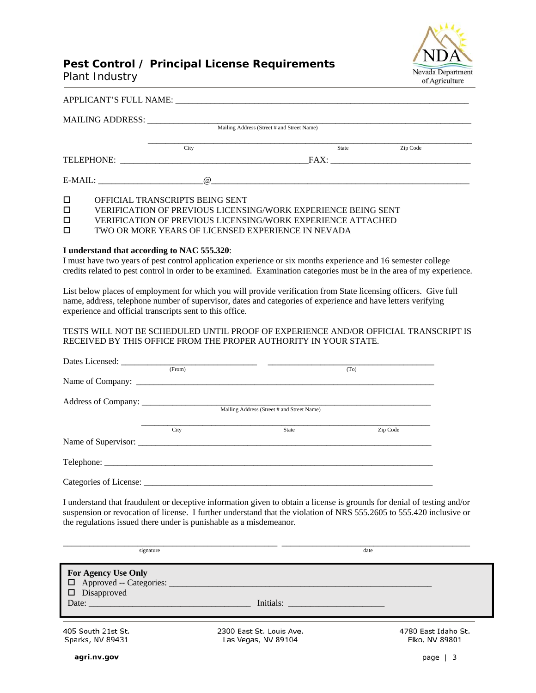

## **Pest Control / Principal License Requirements**

Plant Industry

|            | APPLICANT'S FULL NAME: |                                            |          |
|------------|------------------------|--------------------------------------------|----------|
|            |                        |                                            |          |
|            |                        | Mailing Address (Street # and Street Name) |          |
|            | City                   | State                                      | Zip Code |
| TELEPHONE: |                        |                                            |          |
|            | $\omega$               |                                            |          |

OFFICIAL TRANSCRIPTS BEING SENT

VERIFICATION OF PREVIOUS LICENSING/WORK EXPERIENCE BEING SENT

□ VERIFICATION OF PREVIOUS LICENSING/WORK EXPERIENCE ATTACHED<br>□ TWO OR MORE YEARS OF LICENSED EXPERIENCE IN NEVADA

TWO OR MORE YEARS OF LICENSED EXPERIENCE IN NEVADA

#### **I understand that according to NAC 555.320**:

I must have two years of pest control application experience or six months experience and 16 semester college credits related to pest control in order to be examined. Examination categories must be in the area of my experience.

List below places of employment for which you will provide verification from State licensing officers. Give full name, address, telephone number of supervisor, dates and categories of experience and have letters verifying experience and official transcripts sent to this office.

#### TESTS WILL NOT BE SCHEDULED UNTIL PROOF OF EXPERIENCE AND/OR OFFICIAL TRANSCRIPT IS RECEIVED BY THIS OFFICE FROM THE PROPER AUTHORITY IN YOUR STATE.

| (From) | (T <sub>O</sub> )                          |          |
|--------|--------------------------------------------|----------|
|        |                                            |          |
|        |                                            |          |
|        | Mailing Address (Street # and Street Name) |          |
|        |                                            |          |
| City   | <b>State</b>                               | Zip Code |
|        |                                            |          |
|        |                                            |          |
|        |                                            |          |

I understand that fraudulent or deceptive information given to obtain a license is grounds for denial of testing and/or suspension or revocation of license. I further understand that the violation of NRS 555.2605 to 555.420 inclusive or the regulations issued there under is punishable as a misdemeanor.

| signature                                                                                                                                                                                                                                                                                                                    |                                                 | date                                  |
|------------------------------------------------------------------------------------------------------------------------------------------------------------------------------------------------------------------------------------------------------------------------------------------------------------------------------|-------------------------------------------------|---------------------------------------|
| <b>For Agency Use Only</b><br>□ Approved -- Categories: _________<br>$\square$ Disapproved<br>Date: the contract of the contract of the contract of the contract of the contract of the contract of the contract of the contract of the contract of the contract of the contract of the contract of the contract of the cont | Initials:                                       |                                       |
| 405 South 21st St.<br>Sparks, NV 89431                                                                                                                                                                                                                                                                                       | 2300 East St. Louis Ave.<br>Las Vegas, NV 89104 | 4780 East Idaho St.<br>Elko, NV 89801 |